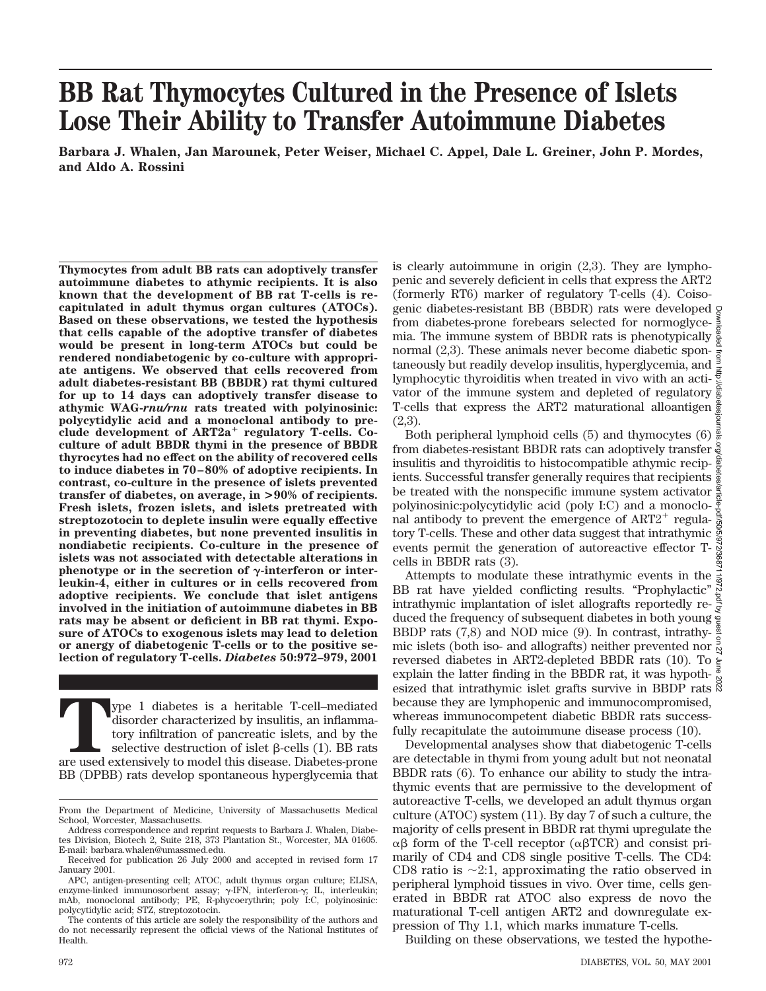# **BB Rat Thymocytes Cultured in the Presence of Islets Lose Their Ability to Transfer Autoimmune Diabetes**

**Barbara J. Whalen, Jan Marounek, Peter Weiser, Michael C. Appel, Dale L. Greiner, John P. Mordes, and Aldo A. Rossini**

**Thymocytes from adult BB rats can adoptively transfer autoimmune diabetes to athymic recipients. It is also known that the development of BB rat T-cells is recapitulated in adult thymus organ cultures (ATOCs). Based on these observations, we tested the hypothesis that cells capable of the adoptive transfer of diabetes would be present in long-term ATOCs but could be rendered nondiabetogenic by co-culture with appropriate antigens. We observed that cells recovered from adult diabetes-resistant BB (BBDR) rat thymi cultured for up to 14 days can adoptively transfer disease to athymic WAG-***rnu/rnu* **rats treated with polyinosinic: polycytidylic acid and a monoclonal antibody to pre**clude development of ART2a<sup>+</sup> regulatory T-cells. Co**culture of adult BBDR thymi in the presence of BBDR thyrocytes had no effect on the ability of recovered cells to induce diabetes in 70–80% of adoptive recipients. In contrast, co-culture in the presence of islets prevented transfer of diabetes, on average, in >90% of recipients. Fresh islets, frozen islets, and islets pretreated with streptozotocin to deplete insulin were equally effective in preventing diabetes, but none prevented insulitis in nondiabetic recipients. Co-culture in the presence of islets was not associated with detectable alterations in** phenotype or in the secretion of  $\gamma$ -interferon or inter**leukin-4, either in cultures or in cells recovered from adoptive recipients. We conclude that islet antigens involved in the initiation of autoimmune diabetes in BB rats may be absent or deficient in BB rat thymi. Exposure of ATOCs to exogenous islets may lead to deletion or anergy of diabetogenic T-cells or to the positive selection of regulatory T-cells.** *Diabetes* **50:972–979, 2001**

**T**ype 1 diabetes is a heritable T-cell–mediated disorder characterized by insulitis, an inflammatory infiltration of pancreatic islets, and by the selective destruction of islet  $\beta$ -cells (1). BB rats are used extensively to model this disease. Diabetes-prone BB (DPBB) rats develop spontaneous hyperglycemia that is clearly autoimmune in origin (2,3). They are lymphopenic and severely deficient in cells that express the ART2 (formerly RT6) marker of regulatory T-cells (4). Coisogenic diabetes-resistant BB (BBDR) rats were developed from diabetes-prone forebears selected for normoglycemia. The immune system of BBDR rats is phenotypically normal (2,3). These animals never become diabetic spontaneously but readily develop insulitis, hyperglycemia, and lymphocytic thyroiditis when treated in vivo with an activator of the immune system and depleted of regulatory  $\frac{3}{8}$ T-cells that express the ART2 maturational alloantigen  $\frac{2}{8}$ (2,3).

Both peripheral lymphoid cells (5) and thymocytes (6)  $\frac{5}{6}$ from diabetes-resistant BBDR rats can adoptively transfer insulitis and thyroiditis to histocompatible athymic recipients. Successful transfer generally requires that recipients be treated with the nonspecific immune system activator  $\frac{8}{9}$ polyinosinic:polycytidylic acid (poly I:C) and a monoclonal antibody to prevent the emergence of ART2<sup>+</sup> regula- $\frac{a}{\delta}$ tory T-cells. These and other data suggest that intrathymic events permit the generation of autoreactive effector Tcells in BBDR rats (3).

Attempts to modulate these intrathymic events in the BB rat have yielded conflicting results. "Prophylactic" intrathymic implantation of islet allografts reportedly reduced the frequency of subsequent diabetes in both young BBDP rats  $(7,8)$  and NOD mice  $(9)$ . In contrast, intrathymic islets (both iso- and allografts) neither prevented nor  $\frac{9}{12}$ reversed diabetes in ART2-depleted BBDR rats (10). To  $\frac{1}{5}$ explain the latter finding in the BBDR rat, it was hypoth- $\frac{3}{5}$ esized that intrathymic islet grafts survive in BBDP rats  $\frac{8}{3}$ because they are lymphopenic and immunocompromised, whereas immunocompetent diabetic BBDR rats successfully recapitulate the autoimmune disease process (10). Downloaded from http://diabetesjournals.org/diabetes/article-pdf/50/5/972/368711/972.pdf by guest on 27 June 2022

Developmental analyses show that diabetogenic T-cells are detectable in thymi from young adult but not neonatal BBDR rats (6). To enhance our ability to study the intrathymic events that are permissive to the development of autoreactive T-cells, we developed an adult thymus organ culture (ATOC) system (11). By day 7 of such a culture, the majority of cells present in BBDR rat thymi upregulate the  $\alpha\beta$  form of the T-cell receptor ( $\alpha\beta$ TCR) and consist primarily of CD4 and CD8 single positive T-cells. The CD4: CD8 ratio is  $\sim$ 2:1, approximating the ratio observed in peripheral lymphoid tissues in vivo. Over time, cells generated in BBDR rat ATOC also express de novo the maturational T-cell antigen ART2 and downregulate expression of Thy 1.1, which marks immature T-cells.

Building on these observations, we tested the hypothe-

From the Department of Medicine, University of Massachusetts Medical School, Worcester, Massachusetts.

Address correspondence and reprint requests to Barbara J. Whalen, Diabetes Division, Biotech 2, Suite 218, 373 Plantation St., Worcester, MA 01605. E-mail: barbara.whalen@umassmed.edu.

Received for publication 26 July 2000 and accepted in revised form 17 January 2001.

APC, antigen-presenting cell; ATOC, adult thymus organ culture; ELISA, enzyme-linked immunosorbent assay;  $\gamma$ -IFN, interferon- $\gamma$ ; IL, interleukin; mAb, monoclonal antibody; PE, R-phycoerythrin; poly I:C, polyinosinic: polycytidylic acid; STZ, streptozotocin.

The contents of this article are solely the responsibility of the authors and do not necessarily represent the official views of the National Institutes of Health.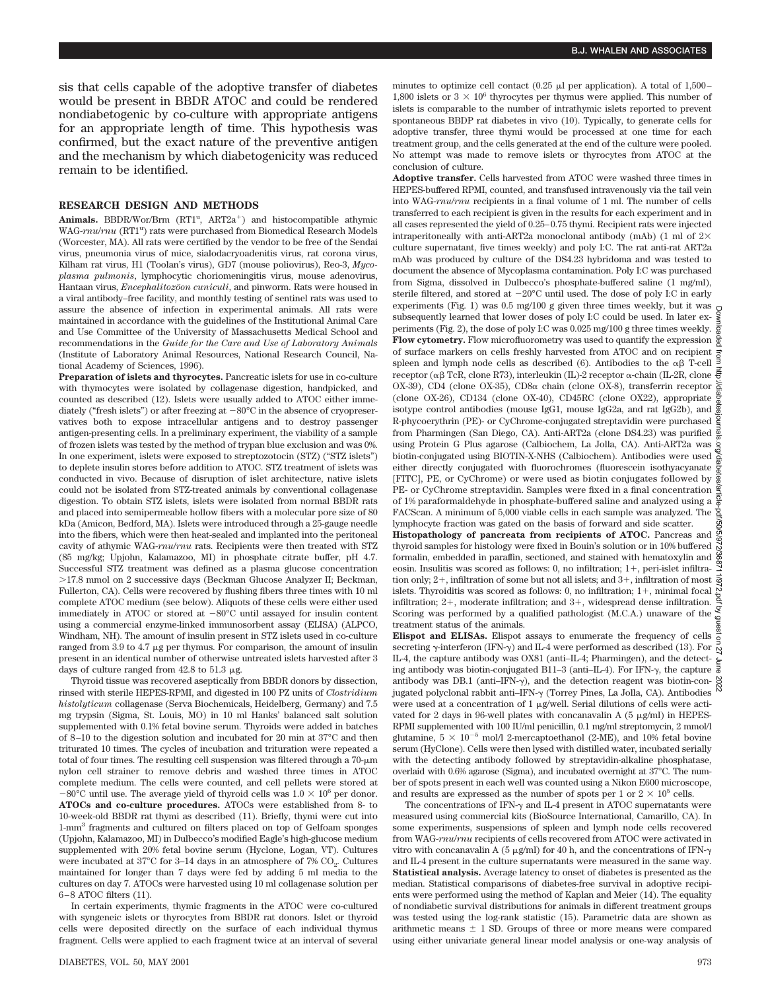sis that cells capable of the adoptive transfer of diabetes would be present in BBDR ATOC and could be rendered nondiabetogenic by co-culture with appropriate antigens for an appropriate length of time. This hypothesis was confirmed, but the exact nature of the preventive antigen and the mechanism by which diabetogenicity was reduced remain to be identified.

#### **RESEARCH DESIGN AND METHODS**

Animals. BBDR/Wor/Brm (RT1<sup>u</sup>, ART2a<sup>+</sup>) and histocompatible athymic WAG- $rnu/rnu$  (RT1<sup>u</sup>) rats were purchased from Biomedical Research Models (Worcester, MA). All rats were certified by the vendor to be free of the Sendai virus, pneumonia virus of mice, sialodacryoadenitis virus, rat corona virus, Kilham rat virus, H1 (Toolan's virus), GD7 (mouse poliovirus), Reo-3, *Mycoplasma pulmonis*, lymphocytic choriomeningitis virus, mouse adenovirus, Hantaan virus, *Encephalitozöon cuniculi*, and pinworm. Rats were housed in a viral antibody–free facility, and monthly testing of sentinel rats was used to assure the absence of infection in experimental animals. All rats were maintained in accordance with the guidelines of the Institutional Animal Care and Use Committee of the University of Massachusetts Medical School and recommendations in the *Guide for the Care and Use of Laboratory Animals* (Institute of Laboratory Animal Resources, National Research Council, National Academy of Sciences, 1996).

**Preparation of islets and thyrocytes.** Pancreatic islets for use in co-culture with thymocytes were isolated by collagenase digestion, handpicked, and counted as described (12). Islets were usually added to ATOC either immediately ("fresh islets") or after freezing at  $-80^{\circ}$ C in the absence of cryopreservatives both to expose intracellular antigens and to destroy passenger antigen-presenting cells. In a preliminary experiment, the viability of a sample of frozen islets was tested by the method of trypan blue exclusion and was 0%. In one experiment, islets were exposed to streptozotocin (STZ) ("STZ islets") to deplete insulin stores before addition to ATOC. STZ treatment of islets was conducted in vivo. Because of disruption of islet architecture, native islets could not be isolated from STZ-treated animals by conventional collagenase digestion. To obtain STZ islets, islets were isolated from normal BBDR rats and placed into semipermeable hollow fibers with a molecular pore size of 80 kDa (Amicon, Bedford, MA). Islets were introduced through a 25-gauge needle into the fibers, which were then heat-sealed and implanted into the peritoneal cavity of athymic WAG-*rnu*/*rnu* rats. Recipients were then treated with STZ (85 mg/kg; Upjohn, Kalamazoo, MI) in phosphate citrate buffer, pH 4.7. Successful STZ treatment was defined as a plasma glucose concentration .17.8 mmol on 2 successive days (Beckman Glucose Analyzer II; Beckman, Fullerton, CA). Cells were recovered by flushing fibers three times with 10 ml complete ATOC medium (see below). Aliquots of these cells were either used immediately in ATOC or stored at  $-80^{\circ}$ C until assayed for insulin content using a commercial enzyme-linked immunosorbent assay (ELISA) (ALPCO, Windham, NH). The amount of insulin present in STZ islets used in co-culture ranged from 3.9 to 4.7  $\mu$ g per thymus. For comparison, the amount of insulin present in an identical number of otherwise untreated islets harvested after 3 days of culture ranged from  $42.8$  to  $51.3 \mu$ g.

Thyroid tissue was recovered aseptically from BBDR donors by dissection, rinsed with sterile HEPES-RPMI, and digested in 100 PZ units of *Clostridium histolyticum* collagenase (Serva Biochemicals, Heidelberg, Germany) and 7.5 mg trypsin (Sigma, St. Louis, MO) in 10 ml Hanks' balanced salt solution supplemented with 0.1% fetal bovine serum. Thyroids were added in batches of 8–10 to the digestion solution and incubated for 20 min at 37°C and then triturated 10 times. The cycles of incubation and trituration were repeated a total of four times. The resulting cell suspension was filtered through a  $70$ - $\mu$ m nylon cell strainer to remove debris and washed three times in ATOC complete medium. The cells were counted, and cell pellets were stored at  $-80^{\circ}$ C until use. The average yield of thyroid cells was  $1.0 \times 10^6$  per donor. **ATOCs and co-culture procedures.** ATOCs were established from 8- to 10-week-old BBDR rat thymi as described (11). Briefly, thymi were cut into 1-mm<sup>3</sup> fragments and cultured on filters placed on top of Gelfoam sponges (Upjohn, Kalamazoo, MI) in Dulbecco's modified Eagle's high-glucose medium supplemented with 20% fetal bovine serum (Hyclone, Logan, VT). Cultures were incubated at  $37^{\circ}$ C for 3–14 days in an atmosphere of 7% CO<sub>2</sub>. Cultures maintained for longer than 7 days were fed by adding 5 ml media to the cultures on day 7. ATOCs were harvested using 10 ml collagenase solution per 6–8 ATOC filters (11).

In certain experiments, thymic fragments in the ATOC were co-cultured with syngeneic islets or thyrocytes from BBDR rat donors. Islet or thyroid cells were deposited directly on the surface of each individual thymus fragment. Cells were applied to each fragment twice at an interval of several

minutes to optimize cell contact (0.25  $\mu$ l per application). A total of 1,500– 1,800 islets or  $3$   $\times$   $10^6$  thyrocytes per thymus were applied. This number of islets is comparable to the number of intrathymic islets reported to prevent spontaneous BBDP rat diabetes in vivo (10). Typically, to generate cells for adoptive transfer, three thymi would be processed at one time for each treatment group, and the cells generated at the end of the culture were pooled. No attempt was made to remove islets or thyrocytes from ATOC at the conclusion of culture.

**Adoptive transfer.** Cells harvested from ATOC were washed three times in HEPES-buffered RPMI, counted, and transfused intravenously via the tail vein into WAG-*rnu*/*rnu* recipients in a final volume of 1 ml. The number of cells transferred to each recipient is given in the results for each experiment and in all cases represented the yield of 0.25–0.75 thymi. Recipient rats were injected intraperitoneally with anti-ART2a monoclonal antibody (mAb) (1 ml of  $2\times$ culture supernatant, five times weekly) and poly I:C. The rat anti-rat ART2a mAb was produced by culture of the DS4.23 hybridoma and was tested to document the absence of Mycoplasma contamination. Poly I:C was purchased from Sigma, dissolved in Dulbecco's phosphate-buffered saline (1 mg/ml), sterile filtered, and stored at  $-20^{\circ}$ C until used. The dose of poly I:C in early experiments (Fig. 1) was 0.5 mg/100 g given three times weekly, but it was  $\beta$ subsequently learned that lower doses of poly I:C could be used. In later experiments (Fig. 2), the dose of poly I:C was 0.025 mg/100 g three times weekly. **Flow cytometry.** Flow microfluorometry was used to quantify the expression of surface markers on cells freshly harvested from ATOC and on recipient spleen and lymph node cells as described  $(6)$ . Antibodies to the  $\alpha\beta$  T-cell receptor (ab TcR, clone R73), interleukin (IL)-2 receptor a-chain (IL-2R, clone OX-39), CD4 (clone OX-35), CD8 $\alpha$  chain (clone OX-8), transferrin receptor  $\frac{\overline{8}}{80}$ (clone OX-26), CD134 (clone OX-40), CD45RC (clone OX22), appropriate  $\frac{8}{9}$ isotype control antibodies (mouse IgG1, mouse IgG2a, and rat IgG2b), and  $\frac{3}{2}$ R-phycoerythrin (PE)- or CyChrome-conjugated streptavidin were purchased from Pharmingen (San Diego, CA). Anti-ART2a (clone DS4.23) was purified using Protein G Plus agarose (Calbiochem, La Jolla, CA). Anti-ART2a was biotin-conjugated using BIOTIN-X-NHS (Calbiochem). Antibodies were used either directly conjugated with fluorochromes (fluorescein isothyacyanate  $\frac{a}{b}$ [FITC], PE, or CyChrome) or were used as biotin conjugates followed by  $\frac{3}{8}$ PE- or CyChrome streptavidin. Samples were fixed in a final concentration  $\frac{3}{4}$ of 1% paraformaldehyde in phosphate-buffered saline and analyzed using a  $\frac{3}{6}$ FACScan. A minimum of 5,000 viable cells in each sample was analyzed. The lymphocyte fraction was gated on the basis of forward and side scatter.

Downloaded from http://diabetesjournals.org/diabetes/article-pdf/50/5/972/368711/972.pdf by guest on 27 June 2022**Histopathology of pancreata from recipients of ATOC.** Pancreas and thyroid samples for histology were fixed in Bouin's solution or in 10% buffered formalin, embedded in paraffin, sectioned, and stained with hematoxylin and eosin. Insulitis was scored as follows:  $0$ , no infiltration;  $1+$ , peri-islet infiltration only;  $2+$ , infiltration of some but not all islets; and  $3+$ , infiltration of most islets. Thyroiditis was scored as follows:  $0$ , no infiltration;  $1+$ , minimal focal ă infiltration;  $2+$ , moderate infiltration; and  $3+$ , widespread dense infiltration. ç, Scoring was performed by a qualified pathologist (M.C.A.) unaware of the treatment status of the animals.

**Elispot and ELISAs.** Elispot assays to enumerate the frequency of cells secreting  $\gamma$ -interferon (IFN- $\gamma$ ) and IL-4 were performed as described (13). For  $\frac{1}{N}$ IL-4, the capture antibody was OX81 (anti–IL-4; Pharmingen), and the detecting antibody was biotin-conjugated B11–3 (anti–IL-4). For IFN- $\gamma$ , the capture antibody was DB.1 (anti-IFN- $\gamma$ ), and the detection reagent was biotin-conjugated polyclonal rabbit anti–IFN-g (Torrey Pines, La Jolla, CA). Antibodies were used at a concentration of 1 µg/well. Serial dilutions of cells were activated for 2 days in 96-well plates with concanavalin A  $(5 \mu g/ml)$  in HEPES-RPMI supplemented with 100 IU/ml penicillin, 0.1 mg/ml streptomycin, 2 mmol/l glutamine,  $5 \times 10^{-5}$  mol/l 2-mercaptoethanol (2-ME), and 10% fetal bovine serum (HyClone). Cells were then lysed with distilled water, incubated serially with the detecting antibody followed by streptavidin-alkaline phosphatase, overlaid with 0.6% agarose (Sigma), and incubated overnight at 37°C. The number of spots present in each well was counted using a Nikon E600 microscope, and results are expressed as the number of spots per 1 or  $2 \times 10^5$  cells.

The concentrations of  $IFN_{\gamma}$  and  $IL_{\gamma}$  present in ATOC supernatants were measured using commercial kits (BioSource International, Camarillo, CA). In some experiments, suspensions of spleen and lymph node cells recovered from WAG-*rnu*/*rnu* recipients of cells recovered from ATOC were activated in vitro with concanavalin A (5  $\mu$ g/ml) for 40 h, and the concentrations of IFN- $\gamma$ and IL-4 present in the culture supernatants were measured in the same way. **Statistical analysis.** Average latency to onset of diabetes is presented as the median. Statistical comparisons of diabetes-free survival in adoptive recipients were performed using the method of Kaplan and Meier (14). The equality of nondiabetic survival distributions for animals in different treatment groups was tested using the log-rank statistic (15). Parametric data are shown as arithmetic means  $\pm$  1 SD. Groups of three or more means were compared using either univariate general linear model analysis or one-way analysis of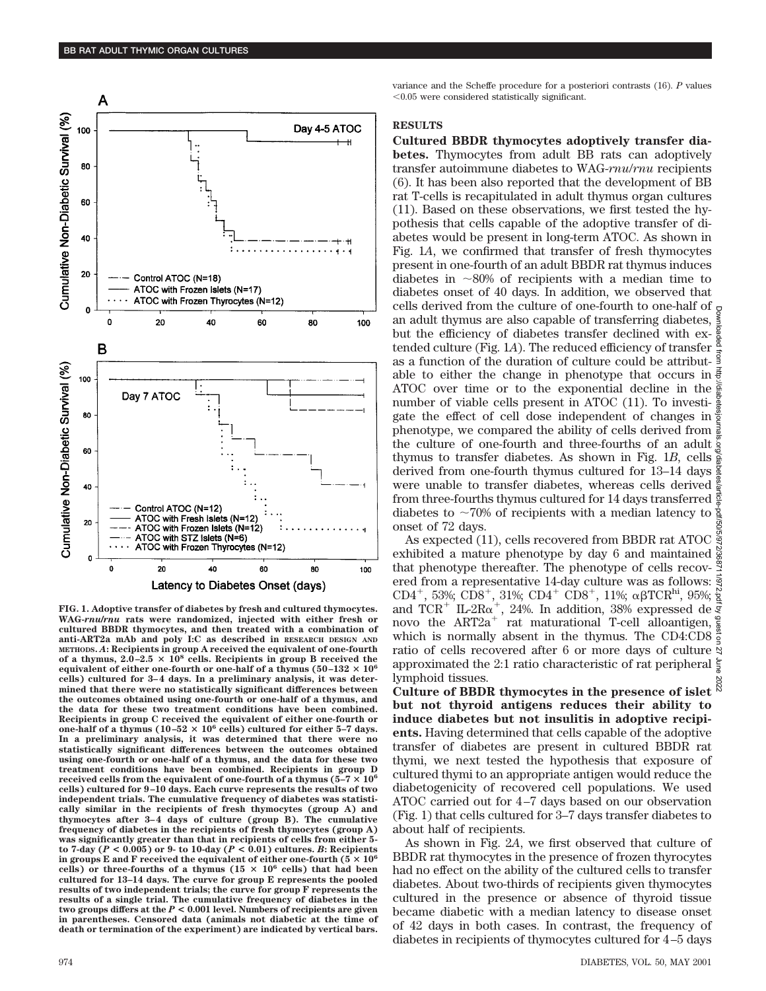

**FIG. 1. Adoptive transfer of diabetes by fresh and cultured thymocytes. WAG-***rnu***/***rnu* **rats were randomized, injected with either fresh or cultured BBDR thymocytes, and then treated with a combination of anti-ART2a mAb and poly I:C as described in RESEARCH DESIGN AND METHODS.** *A***: Recipients in group A received the equivalent of one-fourth** of a thymus,  $2.\overline{0} - 2.5 \times 10^8$  cells. Recipients in group B received the equivalent of either one-fourth or one-half of a thymus (50–132  $\times$  10<sup>6</sup> **cells) cultured for 3–4 days. In a preliminary analysis, it was determined that there were no statistically significant differences between the outcomes obtained using one-fourth or one-half of a thymus, and the data for these two treatment conditions have been combined. Recipients in group C received the equivalent of either one-fourth or** one-half of a thymus  $(10-52 \times 10^6 \text{ cells})$  cultured for either 5-7 days. **In a preliminary analysis, it was determined that there were no statistically significant differences between the outcomes obtained using one-fourth or one-half of a thymus, and the data for these two treatment conditions have been combined. Recipients in group D** received cells from the equivalent of one-fourth of a thymus ( $5-7 \times 10^6$ **cells) cultured for 9–10 days. Each curve represents the results of two independent trials. The cumulative frequency of diabetes was statistically similar in the recipients of fresh thymocytes (group A) and thymocytes after 3–4 days of culture (group B). The cumulative frequency of diabetes in the recipients of fresh thymocytes (group A) was significantly greater than that in recipients of cells from either 5 to 7-day (***P* **< 0.005) or 9- to 10-day (***P* **< 0.01) cultures.** *B***: Recipients** in groups E and F received the equivalent of either one-fourth ( $5 \times 10^6$ cells) or three-fourths of a thymus  $(15 \times 10^6 \text{ cells})$  that had been **cultured for 13–14 days. The curve for group E represents the pooled results of two independent trials; the curve for group F represents the results of a single trial. The cumulative frequency of diabetes in the two groups differs at the** *P* **< 0.001 level. Numbers of recipients are given in parentheses. Censored data (animals not diabetic at the time of death or termination of the experiment) are indicated by vertical bars.**

variance and the Scheffe procedure for a posteriori contrasts (16). *P* values  $< 0.05$  were considered statistically significant.

### **RESULTS**

**Cultured BBDR thymocytes adoptively transfer diabetes.** Thymocytes from adult BB rats can adoptively transfer autoimmune diabetes to WAG-*rnu*/*rnu* recipients (6). It has been also reported that the development of BB rat T-cells is recapitulated in adult thymus organ cultures (11). Based on these observations, we first tested the hypothesis that cells capable of the adoptive transfer of diabetes would be present in long-term ATOC. As shown in Fig. 1*A*, we confirmed that transfer of fresh thymocytes present in one-fourth of an adult BBDR rat thymus induces diabetes in  $\sim80\%$  of recipients with a median time to diabetes onset of 40 days. In addition, we observed that cells derived from the culture of one-fourth to one-half of  $\sigma$ an adult thymus are also capable of transferring diabetes, but the efficiency of diabetes transfer declined with extended culture (Fig. 1*A*). The reduced efficiency of transfer as a function of the duration of culture could be attributable to either the change in phenotype that occurs in  $\frac{3}{5}$ ATOC over time or to the exponential decline in the  $\frac{5}{8}$ number of viable cells present in ATOC  $(11)$ . To investigate the effect of cell dose independent of changes in  $\frac{6}{2}$ phenotype, we compared the ability of cells derived from  $\frac{1}{2}$ the culture of one-fourth and three-fourths of an adult thymus to transfer diabetes. As shown in Fig. 1*B*, cells  $\frac{8}{8}$ derived from one-fourth thymus cultured for 13–14 days  $\frac{5}{2}$ were unable to transfer diabetes, whereas cells derived were unable to transfer diabetes, whereas cells derived  $\frac{8}{8}$  from three-fourths thymus cultured for 14 days transferred  $\frac{2}{8}$ diabetes to  $\sim$ 70% of recipients with a median latency to  $\frac{8}{9}$ onset of 72 days.

As expected (11), cells recovered from BBDR rat ATOC exhibited a mature phenotype by day 6 and maintained that phenotype thereafter. The phenotype of cells recovered from a representative 14-day culture was as follows: CD4<sup>+</sup>, 53%; CD8<sup>+</sup>, 31%; CD4<sup>+</sup> CD8<sup>+</sup>, 11%; a $\beta$ TCR<sup>hi</sup>, 95%; and  $TCR^+$  IL-2R $\alpha^+$ , 24%. In addition, 38% expressed de novo the  $ART2a^+$  rat maturational T-cell alloantigen, which is normally absent in the thymus. The CD4:CD8  $\frac{2}{9}$ ratio of cells recovered after 6 or more days of culture approximated the 2:1 ratio characteristic of rat peripheral lymphoid tissues. Downloaded from http://diabetesjournals.org/diabetes/article-pdf/50/5/972/368711/972.pdf by guest on 27 June 2022

**Culture of BBDR thymocytes in the presence of islet but not thyroid antigens reduces their ability to induce diabetes but not insulitis in adoptive recipients.** Having determined that cells capable of the adoptive transfer of diabetes are present in cultured BBDR rat thymi, we next tested the hypothesis that exposure of cultured thymi to an appropriate antigen would reduce the diabetogenicity of recovered cell populations. We used ATOC carried out for 4–7 days based on our observation (Fig. 1) that cells cultured for 3–7 days transfer diabetes to about half of recipients.

As shown in Fig. 2*A*, we first observed that culture of BBDR rat thymocytes in the presence of frozen thyrocytes had no effect on the ability of the cultured cells to transfer diabetes. About two-thirds of recipients given thymocytes cultured in the presence or absence of thyroid tissue became diabetic with a median latency to disease onset of 42 days in both cases. In contrast, the frequency of diabetes in recipients of thymocytes cultured for 4–5 days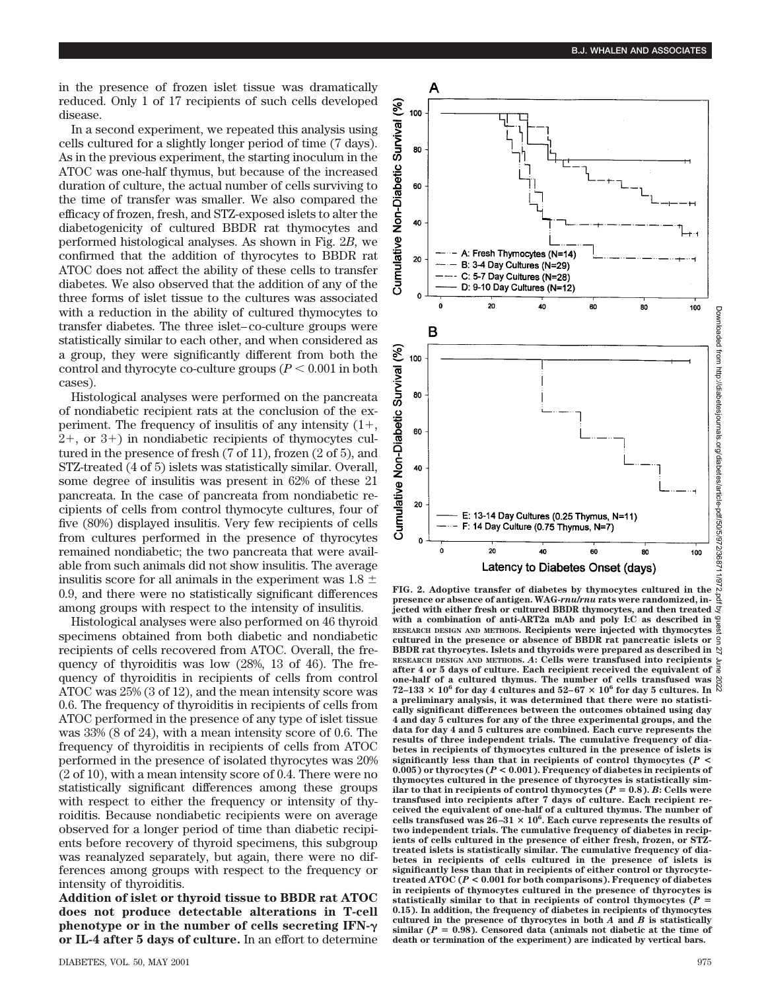in the presence of frozen islet tissue was dramatically reduced. Only 1 of 17 recipients of such cells developed disease.

In a second experiment, we repeated this analysis using cells cultured for a slightly longer period of time (7 days). As in the previous experiment, the starting inoculum in the ATOC was one-half thymus, but because of the increased duration of culture, the actual number of cells surviving to the time of transfer was smaller. We also compared the efficacy of frozen, fresh, and STZ-exposed islets to alter the diabetogenicity of cultured BBDR rat thymocytes and performed histological analyses. As shown in Fig. 2*B*, we confirmed that the addition of thyrocytes to BBDR rat ATOC does not affect the ability of these cells to transfer diabetes. We also observed that the addition of any of the three forms of islet tissue to the cultures was associated with a reduction in the ability of cultured thymocytes to transfer diabetes. The three islet–co-culture groups were statistically similar to each other, and when considered as a group, they were significantly different from both the control and thyrocyte co-culture groups  $(P < 0.001$  in both cases).

Histological analyses were performed on the pancreata of nondiabetic recipient rats at the conclusion of the experiment. The frequency of insulitis of any intensity  $(1+,$  $2+$ , or  $3+$ ) in nondiabetic recipients of thymocytes cultured in the presence of fresh (7 of 11), frozen (2 of 5), and STZ-treated (4 of 5) islets was statistically similar. Overall, some degree of insulitis was present in 62% of these 21 pancreata. In the case of pancreata from nondiabetic recipients of cells from control thymocyte cultures, four of five (80%) displayed insulitis. Very few recipients of cells from cultures performed in the presence of thyrocytes remained nondiabetic; the two pancreata that were available from such animals did not show insulitis. The average insulitis score for all animals in the experiment was  $1.8 \pm$ 0.9, and there were no statistically significant differences among groups with respect to the intensity of insulitis.

Histological analyses were also performed on 46 thyroid specimens obtained from both diabetic and nondiabetic recipients of cells recovered from ATOC. Overall, the frequency of thyroiditis was low (28%, 13 of 46). The frequency of thyroiditis in recipients of cells from control ATOC was 25% (3 of 12), and the mean intensity score was 0.6. The frequency of thyroiditis in recipients of cells from ATOC performed in the presence of any type of islet tissue was 33% (8 of 24), with a mean intensity score of 0.6. The frequency of thyroiditis in recipients of cells from ATOC performed in the presence of isolated thyrocytes was 20% (2 of 10), with a mean intensity score of 0.4. There were no statistically significant differences among these groups with respect to either the frequency or intensity of thyroiditis. Because nondiabetic recipients were on average observed for a longer period of time than diabetic recipients before recovery of thyroid specimens, this subgroup was reanalyzed separately, but again, there were no differences among groups with respect to the frequency or intensity of thyroiditis.

**Addition of islet or thyroid tissue to BBDR rat ATOC does not produce detectable alterations in T-cell phenotype or in the number of cells secreting IFN-**g **or IL-4 after 5 days of culture.** In an effort to determine



**FIG. 2. Adoptive transfer of diabetes by thymocytes cultured in the**  $\frac{5}{12}$  **presence or absence of antigen.** WAC surface **presence or absence of antigen. WAG-***rnu***/***rnu* **rats were randomized, injected with either fresh or cultured BBDR thymocytes, and then treated with a combination of anti-ART2a mAb and poly I:C as described in RESEARCH DESIGN AND METHODS. Recipients were injected with thymocytes cultured in the presence or absence of BBDR rat pancreatic islets or BBDR rat thyrocytes. Islets and thyroids were prepared as described in RESEARCH DESIGN AND METHODS.** *A***: Cells were transfused into recipients after 4 or 5 days of culture. Each recipient received the equivalent of** one-half of a cultured thymus. The number of cells transfused was<br> $72-133 \times 10^6$  for day 4 cultures and  $52-67 \times 10^6$  for day 5 cultures. In **a preliminary analysis, it was determined that there were no statistically significant differences between the outcomes obtained using day 4 and day 5 cultures for any of the three experimental groups, and the data for day 4 and 5 cultures are combined. Each curve represents the results of three independent trials. The cumulative frequency of diabetes in recipients of thymocytes cultured in the presence of islets is significantly less than that in recipients of control thymocytes (***P* **< 0.005) or thyrocytes (***P* **< 0.001). Frequency of diabetes in recipients of thymocytes cultured in the presence of thyrocytes is statistically similar to that in recipients of control thymocytes**  $(P = 0.8)$ **.** *B***: Cells were transfused into recipients after 7 days of culture. Each recipient received the equivalent of one-half of a cultured thymus. The number of** cells transfused was  $26-31 \times 10^6$ . Each curve represents the results of **two independent trials. The cumulative frequency of diabetes in recipients of cells cultured in the presence of either fresh, frozen, or STZtreated islets is statistically similar. The cumulative frequency of diabetes in recipients of cells cultured in the presence of islets is significantly less than that in recipients of either control or thyrocytetreated ATOC (***P* **< 0.001 for both comparisons). Frequency of diabetes in recipients of thymocytes cultured in the presence of thyrocytes is** statistically similar to that in recipients of control thymocytes  $(P =$ **0.15). In addition, the frequency of diabetes in recipients of thymocytes cultured in the presence of thyrocytes in both** *A* **and** *B* **is statistically**  $similar (P = 0.98)$ . Censored data (animals not diabetic at the time of **death or termination of the experiment) are indicated by vertical bars.**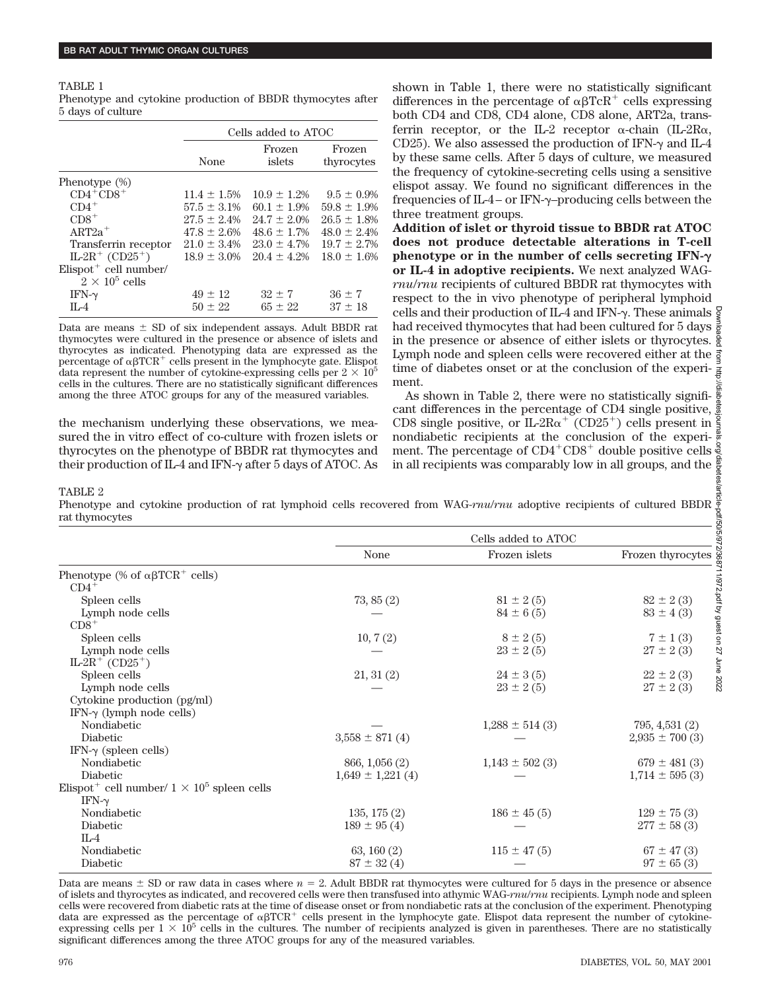#### TABLE 1

Phenotype and cytokine production of BBDR thymocytes after 5 days of culture

|                         | Cells added to ATOC |                  |                      |
|-------------------------|---------------------|------------------|----------------------|
|                         | None                | Frozen<br>islets | Frozen<br>thyrocytes |
| Phenotype (%)           |                     |                  |                      |
| $CD4+CD8+$              | $11.4 \pm 1.5\%$    | $10.9 \pm 1.2\%$ | $9.5 \pm 0.9\%$      |
| $CD4^+$                 | $57.5 \pm 3.1\%$    | $60.1 \pm 1.9\%$ | $59.8 \pm 1.9\%$     |
| $CD8+$                  | $27.5 + 2.4\%$      | $24.7 \pm 2.0\%$ | $26.5 \pm 1.8\%$     |
| $ART2a^+$               | $47.8 + 2.6\%$      | $48.6 \pm 1.7\%$ | $48.0 \pm 2.4\%$     |
| Transferrin receptor    | $21.0 \pm 3.4\%$    | $23.0 \pm 4.7\%$ | $19.7 \pm 2.7\%$     |
| $IL-2R^+ (CD25^+)$      | $18.9 \pm 3.0\%$    | $20.4 \pm 4.2\%$ | $18.0 \pm 1.6\%$     |
| $Elispot+$ cell number/ |                     |                  |                      |
| $2 \times 10^5$ cells   |                     |                  |                      |
| IFN- $\gamma$           | $49 \pm 12$         | $32 \pm 7$       | $36 \pm 7$           |
| $II - 4$                | $50 \pm 22$         | $65 \pm 22$      | $37 \pm 18$          |

Data are means  $\pm$  SD of six independent assays. Adult BBDR rat thymocytes were cultured in the presence or absence of islets and thyrocytes as indicated. Phenotyping data are expressed as the percentage of  $\alpha\beta TCR^+$  cells present in the lymphocyte gate. Elispot data represent the number of cytokine-expressing cells per  $2 \times 10^5$ cells in the cultures. There are no statistically significant differences among the three ATOC groups for any of the measured variables.

the mechanism underlying these observations, we measured the in vitro effect of co-culture with frozen islets or thyrocytes on the phenotype of BBDR rat thymocytes and their production of IL-4 and IFN- $\gamma$  after 5 days of ATOC. As shown in Table 1, there were no statistically significant differences in the percentage of  $\alpha\beta TcR^+$  cells expressing both CD4 and CD8, CD4 alone, CD8 alone, ART2a, transferrin receptor, or the IL-2 receptor  $\alpha$ -chain (IL-2R $\alpha$ , CD25). We also assessed the production of IFN- $\gamma$  and IL-4 by these same cells. After 5 days of culture, we measured the frequency of cytokine-secreting cells using a sensitive elispot assay. We found no significant differences in the frequencies of IL-4– or IFN- $\gamma$ –producing cells between the three treatment groups.

**Addition of islet or thyroid tissue to BBDR rat ATOC does not produce detectable alterations in T-cell phenotype or in the number of cells secreting IFN-**g **or IL-4 in adoptive recipients.** We next analyzed WAG*rnu*/*rnu* recipients of cultured BBDR rat thymocytes with respect to the in vivo phenotype of peripheral lymphoid cells and their production of IL-4 and IFN- $\gamma$ . These animals  $\frac{6}{9}$ had received thymocytes that had been cultured for 5 days in the presence or absence of either islets or thyrocytes. Lymph node and spleen cells were recovered either at the  $\frac{3}{9}$ time of diabetes onset or at the conclusion of the experi- $\frac{1}{4}$ ment.

As shown in Table 2, there were no statistically signifi- $\frac{3}{8}$ cant differences in the percentage of CD4 single positive,  $\frac{3}{2}$ CD8 single positive, or  $IL-2Ra^+$  (CD25<sup>+</sup>) cells present in nondiabetic recipients at the conclusion of the experi- $\frac{3}{6}$ ment. The percentage of  $CD4^+CD8^+$  double positive cells in all recipients was comparably low in all groups, and the

#### TABLE 2

Phenotype and cytokine production of rat lymphoid cells recovered from WAG-*rnu*/*rnu* adoptive recipients of cultured BBDR rat thymocytes

|                                                                | Cells added to ATOC  |                     |                     |
|----------------------------------------------------------------|----------------------|---------------------|---------------------|
|                                                                | None                 | Frozen islets       | Frozen thyrocytes   |
| Phenotype (% of $\alpha\beta TCR^+$ cells)<br>$CD4^+$          |                      |                     |                     |
| Spleen cells                                                   | 73, 85(2)            | $81 \pm 2(5)$       | $82 \pm 2(3)$       |
| Lymph node cells                                               |                      | $84 \pm 6(5)$       | $83 \pm 4(3)$       |
| $CD8+$                                                         |                      |                     |                     |
| Spleen cells                                                   | 10, 7(2)             | $8 \pm 2(5)$        | $7 \pm 1(3)$        |
| Lymph node cells                                               |                      | $23 \pm 2(5)$       | $27 \pm 2(3)$       |
| $IL-2R^+ (CD25^+)$                                             |                      |                     |                     |
| Spleen cells                                                   | 21, 31(2)            | $24 \pm 3(5)$       | $22 \pm 2(3)$       |
| Lymph node cells                                               |                      | $23 \pm 2(5)$       | $27 \pm 2(3)$       |
| Cytokine production (pg/ml)                                    |                      |                     |                     |
| IFN- $\gamma$ (lymph node cells)                               |                      |                     |                     |
| Nondiabetic                                                    |                      | $1,288 \pm 514$ (3) | 795, 4,531(2)       |
| Diabetic                                                       | $3,558 \pm 871(4)$   |                     | $2,935 \pm 700(3)$  |
| IFN- $\gamma$ (spleen cells)                                   |                      |                     |                     |
| Nondiabetic                                                    | 866, 1,056 (2)       | $1,143 \pm 502$ (3) | $679 \pm 481(3)$    |
| <b>Diabetic</b>                                                | $1,649 \pm 1,221(4)$ |                     | $1,714 \pm 595$ (3) |
| Elispot <sup>+</sup> cell number/ $1 \times 10^5$ spleen cells |                      |                     |                     |
| IFN- $\gamma$                                                  |                      |                     |                     |
| Nondiabetic                                                    | 135, 175(2)          | $186 \pm 45(5)$     | $129 \pm 75(3)$     |
| Diabetic                                                       | $189 \pm 95(4)$      |                     | $277 \pm 58(3)$     |
| IL-4                                                           |                      |                     |                     |
| Nondiabetic                                                    | 63, 160 $(2)$        | $115 \pm 47(5)$     | $67 \pm 47(3)$      |
| Diabetic                                                       | $87 \pm 32(4)$       |                     | $97 \pm 65(3)$      |
|                                                                |                      |                     |                     |

Data are means  $\pm$  SD or raw data in cases where  $n = 2$ . Adult BBDR rat thymocytes were cultured for 5 days in the presence or absence of islets and thyrocytes as indicated, and recovered cells were then transfused into athymic WAG-*rnu*/*rnu* recipients. Lymph node and spleen cells were recovered from diabetic rats at the time of disease onset or from nondiabetic rats at the conclusion of the experiment. Phenotyping data are expressed as the percentage of  $\alpha\beta TCR^+$  cells present in the lymphocyte gate. Elispot data represent the number of cytokineexpressing cells per  $1 \times 10^5$  cells in the cultures. The number of recipients analyzed is given in parentheses. There are no statistically significant differences among the three ATOC groups for any of the measured variables.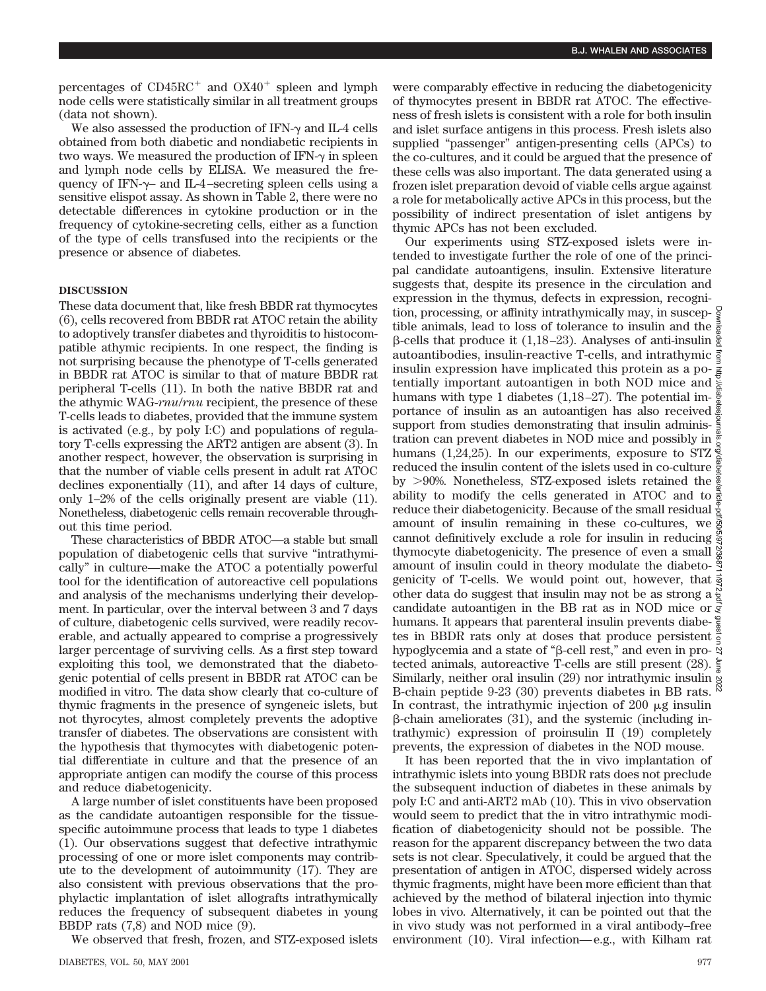percentages of  $CD45RC^+$  and  $OX40^+$  spleen and lymph node cells were statistically similar in all treatment groups (data not shown).

We also assessed the production of IFN- $\gamma$  and IL-4 cells obtained from both diabetic and nondiabetic recipients in two ways. We measured the production of  $IFN-\gamma$  in spleen and lymph node cells by ELISA. We measured the frequency of IFN- $\gamma$ – and IL-4–secreting spleen cells using a sensitive elispot assay. As shown in Table 2, there were no detectable differences in cytokine production or in the frequency of cytokine-secreting cells, either as a function of the type of cells transfused into the recipients or the presence or absence of diabetes.

#### **DISCUSSION**

These data document that, like fresh BBDR rat thymocytes (6), cells recovered from BBDR rat ATOC retain the ability to adoptively transfer diabetes and thyroiditis to histocompatible athymic recipients. In one respect, the finding is not surprising because the phenotype of T-cells generated in BBDR rat ATOC is similar to that of mature BBDR rat peripheral T-cells (11). In both the native BBDR rat and the athymic WAG-*rnu*/*rnu* recipient, the presence of these T-cells leads to diabetes, provided that the immune system is activated (e.g., by poly I:C) and populations of regulatory T-cells expressing the ART2 antigen are absent (3). In another respect, however, the observation is surprising in that the number of viable cells present in adult rat ATOC declines exponentially (11), and after 14 days of culture, only 1–2% of the cells originally present are viable (11). Nonetheless, diabetogenic cells remain recoverable throughout this time period.

These characteristics of BBDR ATOC—a stable but small population of diabetogenic cells that survive "intrathymically" in culture—make the ATOC a potentially powerful tool for the identification of autoreactive cell populations and analysis of the mechanisms underlying their development. In particular, over the interval between 3 and 7 days of culture, diabetogenic cells survived, were readily recoverable, and actually appeared to comprise a progressively larger percentage of surviving cells. As a first step toward exploiting this tool, we demonstrated that the diabetogenic potential of cells present in BBDR rat ATOC can be modified in vitro*.* The data show clearly that co-culture of thymic fragments in the presence of syngeneic islets, but not thyrocytes, almost completely prevents the adoptive transfer of diabetes. The observations are consistent with the hypothesis that thymocytes with diabetogenic potential differentiate in culture and that the presence of an appropriate antigen can modify the course of this process and reduce diabetogenicity.

A large number of islet constituents have been proposed as the candidate autoantigen responsible for the tissuespecific autoimmune process that leads to type 1 diabetes (1). Our observations suggest that defective intrathymic processing of one or more islet components may contribute to the development of autoimmunity (17). They are also consistent with previous observations that the prophylactic implantation of islet allografts intrathymically reduces the frequency of subsequent diabetes in young BBDP rats (7,8) and NOD mice (9).

We observed that fresh, frozen, and STZ-exposed islets

were comparably effective in reducing the diabetogenicity of thymocytes present in BBDR rat ATOC. The effectiveness of fresh islets is consistent with a role for both insulin and islet surface antigens in this process. Fresh islets also supplied "passenger" antigen-presenting cells (APCs) to the co-cultures, and it could be argued that the presence of these cells was also important. The data generated using a frozen islet preparation devoid of viable cells argue against a role for metabolically active APCs in this process, but the possibility of indirect presentation of islet antigens by thymic APCs has not been excluded.

Our experiments using STZ-exposed islets were intended to investigate further the role of one of the principal candidate autoantigens, insulin. Extensive literature suggests that, despite its presence in the circulation and expression in the thymus, defects in expression, recognition, processing, or affinity intrathymically may, in susceptible animals, lead to loss of tolerance to insulin and the  $\frac{3}{8}$ β-cells that produce it (1,18–23). Analyses of anti-insulin  $\frac{8}{9}$ autoantibodies, insulin-reactive T-cells, and intrathymic insulin expression have implicated this protein as a po- $\frac{1}{4}$ tentially important autoantigen in both NOD mice and humans with type 1 diabetes  $(1.18-27)$ . The potential importance of insulin as an autoantigen has also received  $\frac{3}{2}$ support from studies demonstrating that insulin administration can prevent diabetes in NOD mice and possibly in humans  $(1,24,25)$ . In our experiments, exposure to STZ reduced the insulin content of the islets used in co-culture  $\frac{8}{8}$ by  $>90\%$ . Nonetheless, STZ-exposed islets retained the  $\frac{6}{5}$ ability to modify the cells generated in ATOC and to  $\frac{3}{6}$ reduce their diabetogenicity. Because of the small residual  $\frac{3}{2}$ amount of insulin remaining in these co-cultures, we  $\overline{\mathscr{B}}$ cannot definitively exclude a role for insulin in reducing thymocyte diabetogenicity. The presence of even a small amount of insulin could in theory modulate the diabetogenicity of T-cells. We would point out, however, that  $\frac{1}{2}$ other data do suggest that insulin may not be as strong a  $\frac{1}{2}$ candidate autoantigen in the BB rat as in NOD mice or  $\vec{r}$ humans. It appears that parenteral insulin prevents diabe- $\frac{6}{8}$ tes in BBDR rats only at doses that produce persistent hypoglycemia and a state of " $\beta$ -cell rest," and even in pro- $\frac{1}{2}$ tected animals, autoreactive T-cells are still present (28). Similarly, neither oral insulin  $(29)$  nor intrathymic insulin  $\zeta$ B-chain peptide 9-23 (30) prevents diabetes in BB rats.  $\approx$ In contrast, the intrathymic injection of 200  $\mu$ g insulin  $\beta$ -chain ameliorates (31), and the systemic (including intrathymic) expression of proinsulin II (19) completely prevents, the expression of diabetes in the NOD mouse. Downloaded from http://diabetesjournals.org/diabetes/article-pdf/50/5/972/368711/972.pdf by guest on 27 June 2022

It has been reported that the in vivo implantation of intrathymic islets into young BBDR rats does not preclude the subsequent induction of diabetes in these animals by poly I:C and anti-ART2 mAb (10). This in vivo observation would seem to predict that the in vitro intrathymic modification of diabetogenicity should not be possible. The reason for the apparent discrepancy between the two data sets is not clear. Speculatively, it could be argued that the presentation of antigen in ATOC, dispersed widely across thymic fragments, might have been more efficient than that achieved by the method of bilateral injection into thymic lobes in vivo*.* Alternatively, it can be pointed out that the in vivo study was not performed in a viral antibody–free environment (10). Viral infection—e.g., with Kilham rat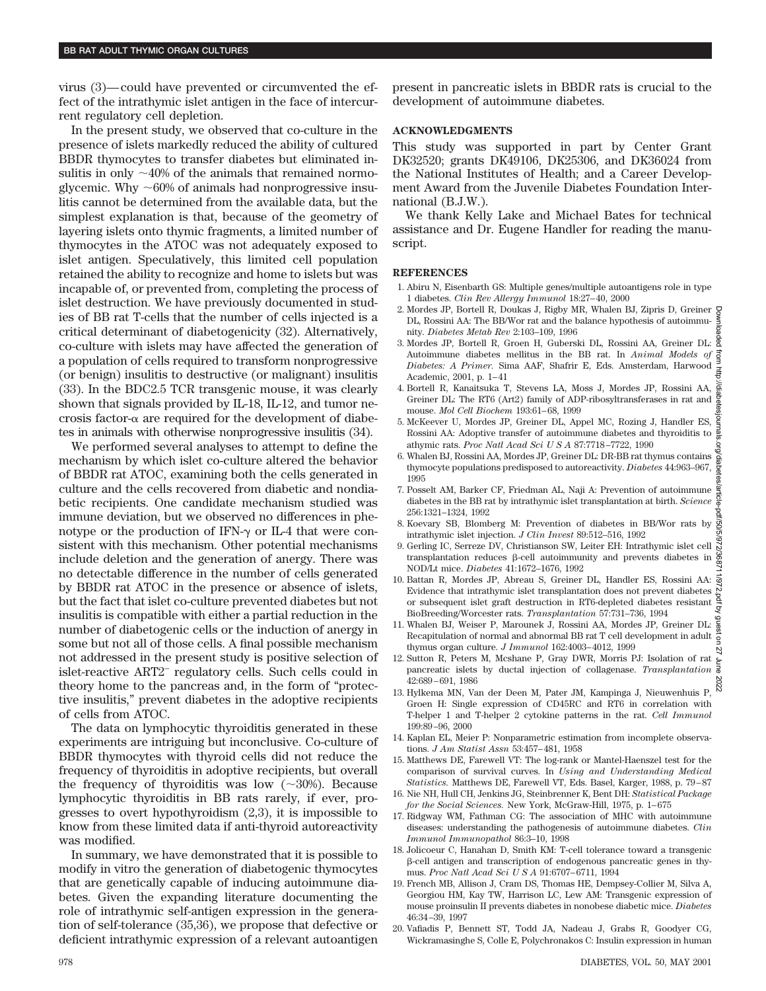virus (3)—could have prevented or circumvented the effect of the intrathymic islet antigen in the face of intercurrent regulatory cell depletion.

In the present study, we observed that co-culture in the presence of islets markedly reduced the ability of cultured BBDR thymocytes to transfer diabetes but eliminated insulitis in only  $\sim$ 40% of the animals that remained normoglycemic. Why  $\sim60\%$  of animals had nonprogressive insulitis cannot be determined from the available data, but the simplest explanation is that, because of the geometry of layering islets onto thymic fragments, a limited number of thymocytes in the ATOC was not adequately exposed to islet antigen. Speculatively, this limited cell population retained the ability to recognize and home to islets but was incapable of, or prevented from, completing the process of islet destruction. We have previously documented in studies of BB rat T-cells that the number of cells injected is a critical determinant of diabetogenicity (32). Alternatively, co-culture with islets may have affected the generation of a population of cells required to transform nonprogressive (or benign) insulitis to destructive (or malignant) insulitis (33). In the BDC2.5 TCR transgenic mouse, it was clearly shown that signals provided by IL-18, IL-12, and tumor necrosis factor- $\alpha$  are required for the development of diabetes in animals with otherwise nonprogressive insulitis (34).

We performed several analyses to attempt to define the mechanism by which islet co-culture altered the behavior of BBDR rat ATOC, examining both the cells generated in culture and the cells recovered from diabetic and nondiabetic recipients. One candidate mechanism studied was immune deviation, but we observed no differences in phenotype or the production of IFN- $\gamma$  or IL-4 that were consistent with this mechanism. Other potential mechanisms include deletion and the generation of anergy. There was no detectable difference in the number of cells generated by BBDR rat ATOC in the presence or absence of islets, but the fact that islet co-culture prevented diabetes but not insulitis is compatible with either a partial reduction in the number of diabetogenic cells or the induction of anergy in some but not all of those cells. A final possible mechanism not addressed in the present study is positive selection of islet-reactive ART2– regulatory cells. Such cells could in theory home to the pancreas and, in the form of "protective insulitis," prevent diabetes in the adoptive recipients of cells from ATOC.

The data on lymphocytic thyroiditis generated in these experiments are intriguing but inconclusive. Co-culture of BBDR thymocytes with thyroid cells did not reduce the frequency of thyroiditis in adoptive recipients, but overall the frequency of thyroiditis was low  $({\sim}30\%)$ . Because lymphocytic thyroiditis in BB rats rarely, if ever, progresses to overt hypothyroidism (2,3), it is impossible to know from these limited data if anti-thyroid autoreactivity was modified.

In summary, we have demonstrated that it is possible to modify in vitro the generation of diabetogenic thymocytes that are genetically capable of inducing autoimmune diabetes. Given the expanding literature documenting the role of intrathymic self-antigen expression in the generation of self-tolerance (35,36), we propose that defective or deficient intrathymic expression of a relevant autoantigen

present in pancreatic islets in BBDR rats is crucial to the development of autoimmune diabetes.

# **ACKNOWLEDGMENTS**

This study was supported in part by Center Grant DK32520; grants DK49106, DK25306, and DK36024 from the National Institutes of Health; and a Career Development Award from the Juvenile Diabetes Foundation International (B.J.W.).

We thank Kelly Lake and Michael Bates for technical assistance and Dr. Eugene Handler for reading the manuscript.

## **REFERENCES**

- 1. Abiru N, Eisenbarth GS: Multiple genes/multiple autoantigens role in type 1 diabetes. *Clin Rev Allergy Immunol* 18:27–40, 2000
- 2. Mordes JP, Bortell R, Doukas J, Rigby MR, Whalen BJ, Zipris D, Greiner DL, Rossini AA: The BB/Wor rat and the balance hypothesis of autoimmunity. *Diabetes Metab Rev* 2:103–109, 1996
- 3. Mordes JP, Bortell R, Groen H, Guberski DL, Rossini AA, Greiner DL: Autoimmune diabetes mellitus in the BB rat. In *Animal Models of Diabetes: A Primer.* Sima AAF, Shafrir E, Eds. Amsterdam, Harwood Academic, 2001, p. 1–41
- 4. Bortell R, Kanaitsuka T, Stevens LA, Moss J, Mordes JP, Rossini AA, Greiner DL: The RT6 (Art2) family of ADP-ribosyltransferases in rat and  $\frac{5}{6}$ mouse. *Mol Cell Biochem* 193:61–68, 1999
- 5. McKeever U, Mordes JP, Greiner DL, Appel MC, Rozing J, Handler ES, Rossini AA: Adoptive transfer of autoimmune diabetes and thyroiditis to athymic rats. *Proc Natl Acad SciUSA* 87:7718–7722, 1990
- 6. Whalen BJ, Rossini AA, Mordes JP, Greiner DL: DR-BB rat thymus contains thymocyte populations predisposed to autoreactivity. *Diabetes* 44:963–967, 1995
- 7. Posselt AM, Barker CF, Friedman AL, Naji A: Prevention of autoimmune diabetes in the BB rat by intrathymic islet transplantation at birth. *Science* 256:1321–1324, 1992
- 8. Koevary SB, Blomberg M: Prevention of diabetes in BB/Wor rats by  $\overline{\ddot{g}}$  intrathymic islet injection *J Clin Impest* 89-512-516 1992 intrathymic islet injection. *J Clin Invest* 89:512–516, 1992
- 9. Gerling IC, Serreze DV, Christianson SW, Leiter EH: Intrathymic islet cell transplantation reduces b-cell autoimmunity and prevents diabetes in NOD/Lt mice. *Diabetes* 41:1672–1676, 1992
- 10. Battan R, Mordes JP, Abreau S, Greiner DL, Handler ES, Rossini AA: Evidence that intrathymic islet transplantation does not prevent diabetes or subsequent islet graft destruction in RT6-depleted diabetes resistant  $\frac{6}{5}$  $\frac{1}{2}$ BioBreeding/Worcester rats. *Transplantation* 57:731–736, 1994
- 11. Whalen BJ, Weiser P, Marounek J, Rossini AA, Mordes JP, Greiner DL: Recapitulation of normal and abnormal BB rat T cell development in adult  $\frac{a}{9}$ thymus organ culture. *J Immunol* 162:4003–4012, 1999
- 12. Sutton R, Peters M, Mcshane P, Gray DWR, Morris PJ: Isolation of rat pancreatic islets by ductal injection of collagenase. *Transplantation* 42:689–691, 1986 Downloaded from http://diabetesjournals.org/diabetes/article-pdf/50/5/972/368711/972.pdf by guest on 27 June 2022
- 13. Hylkema MN, Van der Deen M, Pater JM, Kampinga J, Nieuwenhuis P,  $\stackrel{\infty}{\bowtie}$ Groen H: Single expression of CD45RC and RT6 in correlation with T-helper 1 and T-helper 2 cytokine patterns in the rat. *Cell Immunol* 199:89–96, 2000
- 14. Kaplan EL, Meier P: Nonparametric estimation from incomplete observations. *J Am Statist Assn* 53:457–481, 1958
- 15. Matthews DE, Farewell VT: The log-rank or Mantel-Haenszel test for the comparison of survival curves. In *Using and Understanding Medical Statistics.* Matthews DE, Farewell VT, Eds. Basel, Karger, 1988, p. 79–87
- 16. Nie NH, Hull CH, Jenkins JG, Steinbrenner K, Bent DH: *Statistical Package for the Social Sciences.* New York, McGraw-Hill, 1975, p. 1–675
- 17. Ridgway WM, Fathman CG: The association of MHC with autoimmune diseases: understanding the pathogenesis of autoimmune diabetes. *Clin Immunol Immunopathol* 86:3–10, 1998
- 18. Jolicoeur C, Hanahan D, Smith KM: T-cell tolerance toward a transgenic b-cell antigen and transcription of endogenous pancreatic genes in thymus. *Proc Natl Acad SciUSA* 91:6707–6711, 1994
- 19. French MB, Allison J, Cram DS, Thomas HE, Dempsey-Collier M, Silva A, Georgiou HM, Kay TW, Harrison LC, Lew AM: Transgenic expression of mouse proinsulin II prevents diabetes in nonobese diabetic mice. *Diabetes* 46:34–39, 1997
- 20. Vafiadis P, Bennett ST, Todd JA, Nadeau J, Grabs R, Goodyer CG, Wickramasinghe S, Colle E, Polychronakos C: Insulin expression in human